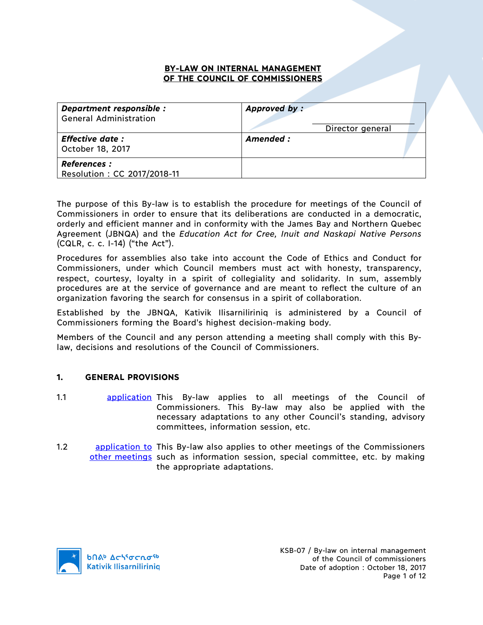## **BY-LAW ON INTERNAL MANAGEMENT OF THE COUNCIL OF COMMISSIONERS**

| Department responsible :<br><b>General Administration</b> | Approved by:<br>Director general |
|-----------------------------------------------------------|----------------------------------|
| <b>Effective date:</b><br>October 18, 2017                | Amended :                        |
| <b>References :</b><br>Resolution: CC 2017/2018-11        |                                  |

The purpose of this By-law is to establish the procedure for meetings of the Council of Commissioners in order to ensure that its deliberations are conducted in a democratic, orderly and efficient manner and in conformity with the James Bay and Northern Quebec Agreement (JBNQA) and the *Education Act for Cree, Inuit and Naskapi Native Persons*  (CQLR, c. c. I-14) ("the Act").

Procedures for assemblies also take into account the Code of Ethics and Conduct for Commissioners, under which Council members must act with honesty, transparency, respect, courtesy, loyalty in a spirit of collegiality and solidarity. In sum, assembly procedures are at the service of governance and are meant to reflect the culture of an organization favoring the search for consensus in a spirit of collaboration.

Established by the JBNQA, Kativik Ilisarniliriniq is administered by a Council of Commissioners forming the Board's highest decision-making body.

Members of the Council and any person attending a meeting shall comply with this Bylaw, decisions and resolutions of the Council of Commissioners.

#### **1. GENERAL PROVISIONS**

- 1.1 **application This By-law applies to all meetings of the Council of** Commissioners. This By-law may also be applied with the necessary adaptations to any other Council's standing, advisory committees, information session, etc.
- 1.2 application to This By-law also applies to other meetings of the Commissioners other meetings such as information session, special committee, etc. by making the appropriate adaptations.

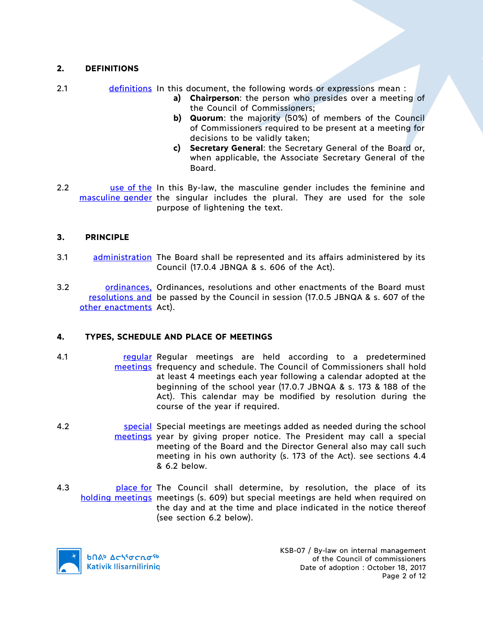# **2. DEFINITIONS**

- 2.1 definitions In this document, the following words or expressions mean :
	- **a) Chairperson**: the person who presides over a meeting of the Council of Commissioners;
	- **b) Quorum**: the majority (50%) of members of the Council of Commissioners required to be present at a meeting for decisions to be validly taken;
	- **c) Secretary General**: the Secretary General of the Board or, when applicable, the Associate Secretary General of the Board.
- 2.2 **use of the In this By-law, the masculine gender includes the feminine and** masculine gender the singular includes the plural. They are used for the sole purpose of lightening the text.

## **3. PRINCIPLE**

- 3.1 administration The Board shall be represented and its affairs administered by its Council (17.0.4 JBNQA & s. 606 of the Act).
- 3.2 ordinances, Ordinances, resolutions and other enactments of the Board must resolutions and be passed by the Council in session (17.0.5 JBNQA & s. 607 of the other enactments Act).

## **4. TYPES, SCHEDULE AND PLACE OF MEETINGS**

- 4.1 **regular Regular meetings are held according to a predetermined** meetings frequency and schedule. The Council of Commissioners shall hold at least 4 meetings each year following a calendar adopted at the beginning of the school year (17.0.7 JBNQA & s. 173 & 188 of the Act). This calendar may be modified by resolution during the course of the year if required.
- 4.2 **Special Special meetings are meetings added as needed during the school** meetings year by giving proper notice. The President may call a special meeting of the Board and the Director General also may call such meeting in his own authority (s. 173 of the Act). see sections 4.4 & 6.2 below.
- 4.3 **place for** The Council shall determine, by resolution, the place of its holding meetings meetings (s. 609) but special meetings are held when required on the day and at the time and place indicated in the notice thereof (see section 6.2 below).

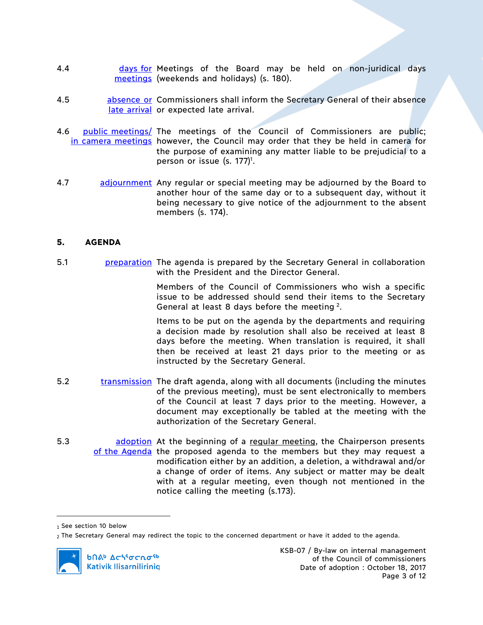- 4.4 **days for Meetings of the Board may be held on non-juridical days** meetings (weekends and holidays) (s. 180).
- 4.5 **absence or Commissioners shall inform the Secretary General of their absence** late arrival or expected late arrival.
- 4.6 public meetings/ The meetings of the Council of Commissioners are public; in camera meetings however, the Council may order that they be held in camera for the purpose of examining any matter liable to be prejudicial to a person or issue (s. 177)<sup>1</sup>.
- 4.7 adjournment Any regular or special meeting may be adjourned by the Board to another hour of the same day or to a subsequent day, without it being necessary to give notice of the adjournment to the absent members (s. 174).

#### **5. AGENDA**

5.1 preparation The agenda is prepared by the Secretary General in collaboration with the President and the Director General.

> Members of the Council of Commissioners who wish a specific issue to be addressed should send their items to the Secretary General at least 8 days before the meeting 2.

> Items to be put on the agenda by the departments and requiring a decision made by resolution shall also be received at least 8 days before the meeting. When translation is required, it shall then be received at least 21 days prior to the meeting or as instructed by the Secretary General.

- 5.2 transmission The draft agenda, along with all documents (including the minutes of the previous meeting), must be sent electronically to members of the Council at least 7 days prior to the meeting. However, a document may exceptionally be tabled at the meeting with the authorization of the Secretary General.
- 5.3 **bushed adoption** At the beginning of a regular meeting, the Chairperson presents of the Agenda the proposed agenda to the members but they may request a modification either by an addition, a deletion, a withdrawal and/or a change of order of items. Any subject or matter may be dealt with at a regular meeting, even though not mentioned in the notice calling the meeting (s.173).

 $\overline{a}$ 

<sup>1</sup> See section 10 below

<sup>2</sup> The Secretary General may redirect the topic to the concerned department or have it added to the agenda.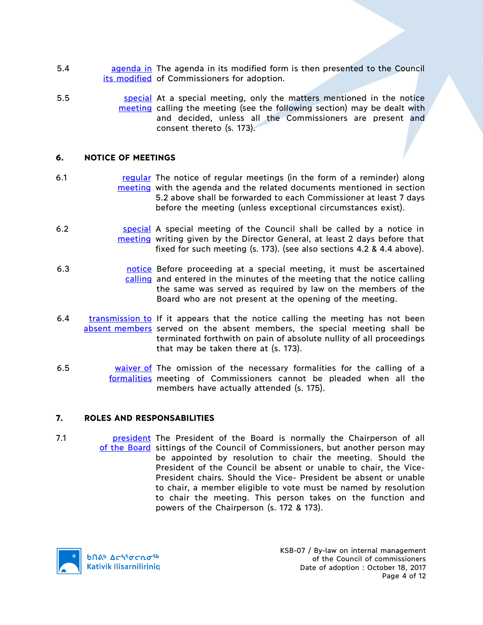- 5.4 **busines agenda in** The agenda in its modified form is then presented to the Council its modified of Commissioners for adoption.
- 5.5 **Source in Sepecial** At a special meeting, only the matters mentioned in the notice meeting calling the meeting (see the following section) may be dealt with and decided, unless all the Commissioners are present and consent thereto (s. 173).

## **6. NOTICE OF MEETINGS**

- 6.1 regular The notice of regular meetings (in the form of a reminder) along meeting with the agenda and the related documents mentioned in section 5.2 above shall be forwarded to each Commissioner at least 7 days before the meeting (unless exceptional circumstances exist).
- 6.2 **special A special meeting of the Council shall be called by a notice in** meeting writing given by the Director General, at least 2 days before that fixed for such meeting (s. 173). (see also sections 4.2 & 4.4 above).
- 6.3 https://educion.com/solid-state proceeding at a special meeting, it must be ascertained calling and entered in the minutes of the meeting that the notice calling the same was served as required by law on the members of the Board who are not present at the opening of the meeting.
- 6.4 transmission to If it appears that the notice calling the meeting has not been absent members served on the absent members, the special meeting shall be terminated forthwith on pain of absolute nullity of all proceedings that may be taken there at (s. 173).
- 6.5 waiver of The omission of the necessary formalities for the calling of a formalities meeting of Commissioners cannot be pleaded when all the members have actually attended (s. 175).

#### **7. ROLES AND RESPONSABILITIES**

7.1 **president** The President of the Board is normally the Chairperson of all of the Board sittings of the Council of Commissioners, but another person may be appointed by resolution to chair the meeting. Should the President of the Council be absent or unable to chair, the Vice-President chairs. Should the Vice- President be absent or unable to chair, a member eligible to vote must be named by resolution to chair the meeting. This person takes on the function and powers of the Chairperson (s. 172 & 173).

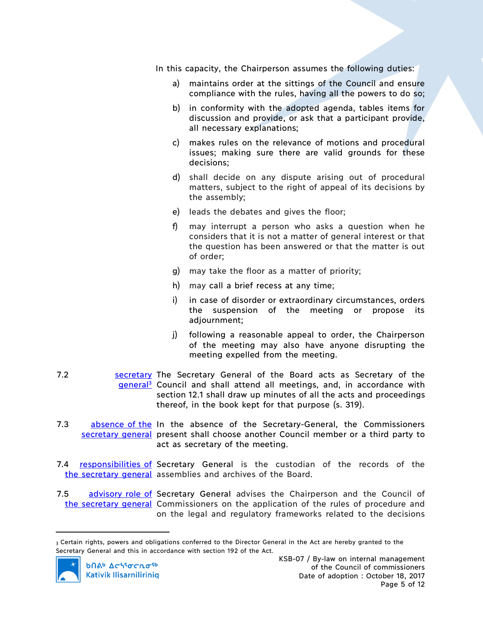In this capacity, the Chairperson assumes the following duties:

- a) maintains order at the sittings of the Council and ensure compliance with the rules, having all the powers to do so;
- b) in conformity with the adopted agenda, tables items for discussion and provide, or ask that a participant provide, all necessary explanations;
- c) makes rules on the relevance of motions and procedural issues; making sure there are valid grounds for these decisions;
- d) shall decide on any dispute arising out of procedural matters, subject to the right of appeal of its decisions by the assembly;
- e) leads the debates and gives the floor;
- f) may interrupt a person who asks a question when he considers that it is not a matter of general interest or that the question has been answered or that the matter is out of order;
- g) may take the floor as a matter of priority;
- h) may call a brief recess at any time;
- i) in case of disorder or extraordinary circumstances, orders the suspension of the meeting or propose its adjournment;
- j) following a reasonable appeal to order, the Chairperson of the meeting may also have anyone disrupting the meeting expelled from the meeting.
- 7.2 **Secretary The Secretary General of the Board acts as Secretary of the** general<sup>3</sup> Council and shall attend all meetings, and, in accordance with section 12.1 shall draw up minutes of all the acts and proceedings thereof, in the book kept for that purpose (s. 319).
- 7.3 absence of the In the absence of the Secretary-General, the Commissioners secretary general present shall choose another Council member or a third party to act as secretary of the meeting.
- 7.4 **responsibilities of Secretary General** is the custodian of the records of the the secretary general assemblies and archives of the Board.
- 7.5 advisory role of Secretary General advises the Chairperson and the Council of the secretary general Commissioners on the application of the rules of procedure and on the legal and regulatory frameworks related to the decisions

<sup>3</sup> Certain rights, powers and obligations conferred to the Director General in the Act are hereby granted to the Secretary General and this in accordance with section 192 of the Act.



 $\overline{a}$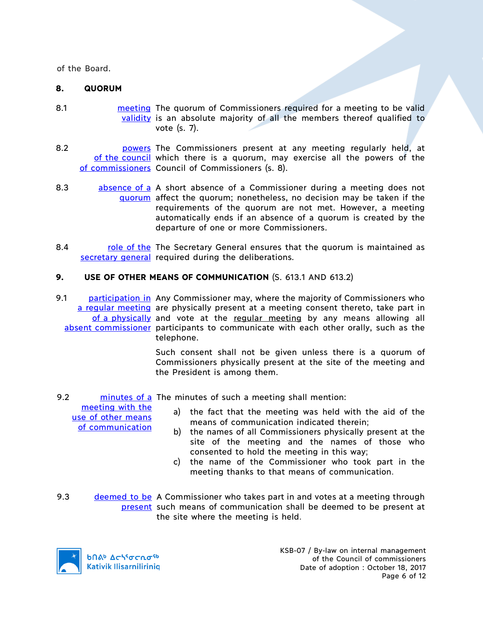of the Board.

#### **8. QUORUM**

- 8.1 **meeting** The quorum of Commissioners required for a meeting to be valid validity is an absolute majority of all the members thereof qualified to vote (s. 7).
- 8.2 **botter powers** The Commissioners present at any meeting regularly held, at of the council which there is a quorum, may exercise all the powers of the of commissioners Council of Commissioners (s. 8).
- 8.3 absence of a A short absence of a Commissioner during a meeting does not guorum affect the quorum; nonetheless, no decision may be taken if the requirements of the quorum are not met. However, a meeting automatically ends if an absence of a quorum is created by the departure of one or more Commissioners.
- 8.4 role of the The Secretary General ensures that the quorum is maintained as secretary general required during the deliberations.

## **9. USE OF OTHER MEANS OF COMMUNICATION** (S. 613.1 AND 613.2)*)*

9.1 **participation in Any Commissioner may, where the majority of Commissioners who** a regular meeting are physically present at a meeting consent thereto, take part in of a physically and vote at the regular meeting by any means allowing all absent commissioner participants to communicate with each other orally, such as the telephone.

> Such consent shall not be given unless there is a quorum of Commissioners physically present at the site of the meeting and the President is among them.

9.2 minutes of a The minutes of such a meeting shall mention:

meeting with the use of other means of communication

- a) the fact that the meeting was held with the aid of the means of communication indicated therein;
- b) the names of all Commissioners physically present at the site of the meeting and the names of those who consented to hold the meeting in this way;
- c) the name of the Commissioner who took part in the meeting thanks to that means of communication.
- 9.3 deemed to be A Commissioner who takes part in and votes at a meeting through present such means of communication shall be deemed to be present at the site where the meeting is held.



KSB-07 / By-law on internal management of the Council of commissioners Date of adoption : October 18, 2017 Page 6 of 12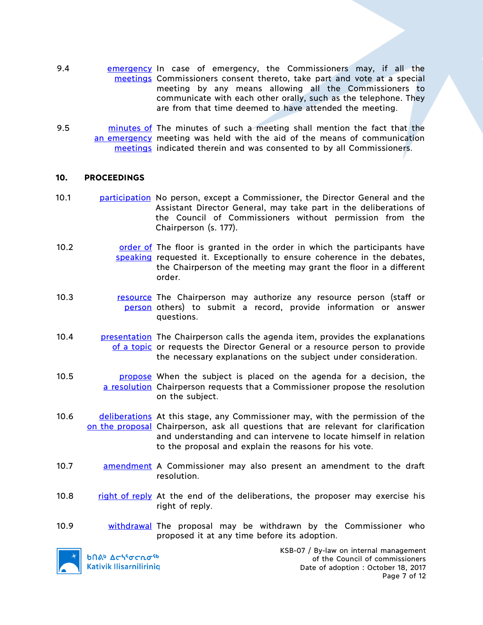- 9.4 **emergency In case of emergency, the Commissioners may, if all the** meetings Commissioners consent thereto, take part and vote at a special meeting by any means allowing all the Commissioners to communicate with each other orally, such as the telephone. They are from that time deemed to have attended the meeting.
- 9.5 **minutes of The minutes of such a meeting shall mention the fact that the** an emergency meeting was held with the aid of the means of communication meetings indicated therein and was consented to by all Commissioners.

#### **10. PROCEEDINGS**

- 10.1 **participation** No person, except a Commissioner, the Director General and the Assistant Director General, may take part in the deliberations of the Council of Commissioners without permission from the Chairperson (s. 177).
- 10.2 **order of The floor is granted in the order in which the participants have** speaking requested it. Exceptionally to ensure coherence in the debates, the Chairperson of the meeting may grant the floor in a different order.
- 10.3 **resource** The Chairperson may authorize any resource person (staff or person others) to submit a record, provide information or answer questions.
- 10.4 **presentation** The Chairperson calls the agenda item, provides the explanations of a topic or requests the Director General or a resource person to provide the necessary explanations on the subject under consideration.
- 10.5 **propose** When the subject is placed on the agenda for a decision, the a resolution Chairperson requests that a Commissioner propose the resolution on the subject.
- 10.6 **deliberations** At this stage, any Commissioner may, with the permission of the on the proposal Chairperson, ask all questions that are relevant for clarification and understanding and can intervene to locate himself in relation to the proposal and explain the reasons for his vote.
- 10.7 **amendment A Commissioner may also present an amendment to the draft** resolution.
- 10.8 right of reply At the end of the deliberations, the proposer may exercise his right of reply.
- 10.9 withdrawal The proposal may be withdrawn by the Commissioner who proposed it at any time before its adoption.



**b**በል<sup>b</sup> Δς<sup>16</sup>σς ησ<sup>ερ</sup> **Kativik Ilisarniliriniq**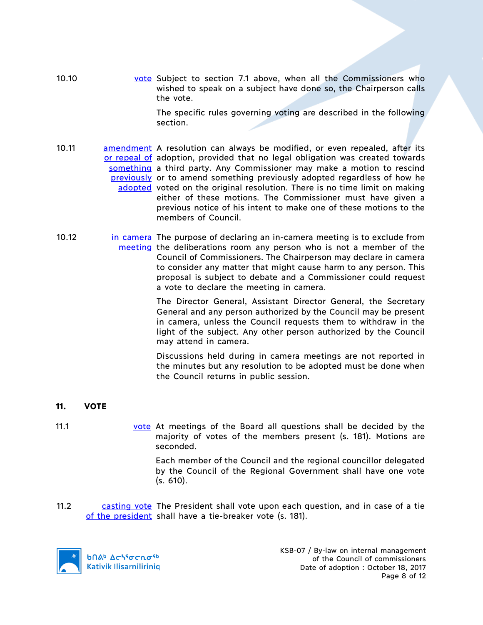10.10 vote Subject to section 7.1 above, when all the Commissioners who wished to speak on a subject have done so, the Chairperson calls the vote.

> The specific rules governing voting are described in the following section.

- 10.11 **amendment** A resolution can always be modified, or even repealed, after its or repeal of adoption, provided that no legal obligation was created towards something a third party. Any Commissioner may make a motion to rescind previously or to amend something previously adopted regardless of how he adopted voted on the original resolution. There is no time limit on making either of these motions. The Commissioner must have given a previous notice of his intent to make one of these motions to the members of Council.
- 10.12 **in camera** The purpose of declaring an in-camera meeting is to exclude from meeting the deliberations room any person who is not a member of the Council of Commissioners. The Chairperson may declare in camera to consider any matter that might cause harm to any person. This proposal is subject to debate and a Commissioner could request a vote to declare the meeting in camera.

The Director General, Assistant Director General, the Secretary General and any person authorized by the Council may be present in camera, unless the Council requests them to withdraw in the light of the subject. Any other person authorized by the Council may attend in camera.

Discussions held during in camera meetings are not reported in the minutes but any resolution to be adopted must be done when the Council returns in public session.

- **11. VOTE**
- 11.1 vote At meetings of the Board all questions shall be decided by the majority of votes of the members present (s. 181). Motions are seconded.

Each member of the Council and the regional councillor delegated by the Council of the Regional Government shall have one vote (s. 610).

11.2 casting vote The President shall vote upon each question, and in case of a tie of the president shall have a tie-breaker vote (s. 181).

**b**Πል<sup>b</sup> Δςιγσς πο<sup>ς 6</sup> **Kativik Ilisarniliriniq**  KSB-07 / By-law on internal management of the Council of commissioners Date of adoption : October 18, 2017 Page 8 of 12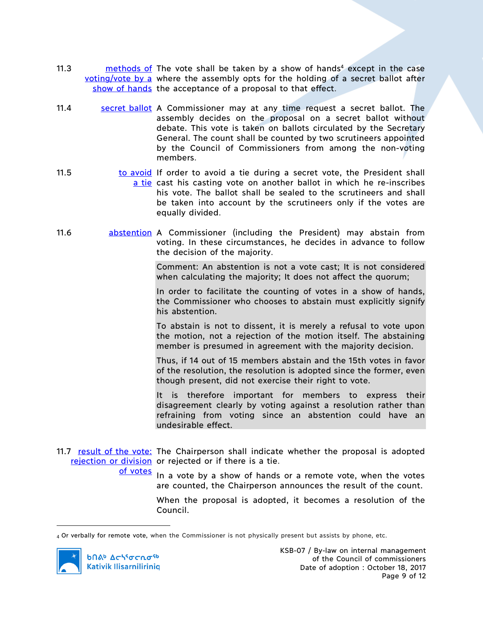- 11.3 methods of The vote shall be taken by a show of hands<sup>4</sup> except in the case voting/vote by a where the assembly opts for the holding of a secret ballot after show of hands the acceptance of a proposal to that effect.
- 11.4 **Secret ballot** A Commissioner may at any time request a secret ballot. The assembly decides on the proposal on a secret ballot without debate. This vote is taken on ballots circulated by the Secretary General. The count shall be counted by two scrutineers appointed by the Council of Commissioners from among the non-voting members.
- 11.5 **to avoid** If order to avoid a tie during a secret vote, the President shall a tie cast his casting vote on another ballot in which he re-inscribes his vote. The ballot shall be sealed to the scrutineers and shall be taken into account by the scrutineers only if the votes are equally divided.
- 11.6 abstention A Commissioner (including the President) may abstain from voting. In these circumstances, he decides in advance to follow the decision of the majority.

Comment: An abstention is not a vote cast; It is not considered when calculating the majority; It does not affect the quorum;

In order to facilitate the counting of votes in a show of hands, the Commissioner who chooses to abstain must explicitly signify his abstention.

To abstain is not to dissent, it is merely a refusal to vote upon the motion, not a rejection of the motion itself. The abstaining member is presumed in agreement with the majority decision.

Thus, if 14 out of 15 members abstain and the 15th votes in favor of the resolution, the resolution is adopted since the former, even though present, did not exercise their right to vote.

It is therefore important for members to express their disagreement clearly by voting against a resolution rather than refraining from voting since an abstention could have an undesirable effect.

11.7 result of the vote: The Chairperson shall indicate whether the proposal is adopted rejection or division or rejected or if there is a tie.

of votes

In a vote by a show of hands or a remote vote, when the votes are counted, the Chairperson announces the result of the count.

When the proposal is adopted, it becomes a resolution of the Council.

<sup>4</sup> Or verbally for remote vote, when the Commissioner is not physically present but assists by phone, etc.



 $\overline{a}$ 

**b**በል<sup>b</sup> Δςιτσς το <sup>τρ</sup> **Kativik Ilisarniliriniq**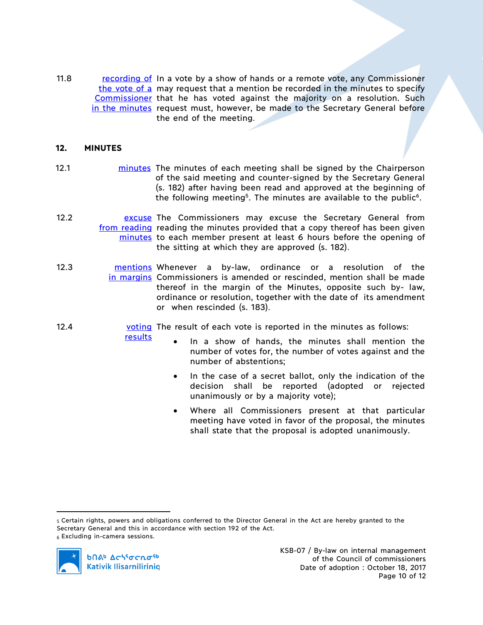11.8 recording of In a vote by a show of hands or a remote vote, any Commissioner the vote of a may request that a mention be recorded in the minutes to specify Commissioner that he has voted against the majority on a resolution. Such in the minutes request must, however, be made to the Secretary General before the end of the meeting.

## **12. MINUTES**

- 12.1 **minutes** The minutes of each meeting shall be signed by the Chairperson of the said meeting and counter-signed by the Secretary General (s. 182) after having been read and approved at the beginning of the following meeting<sup>5</sup>. The minutes are available to the public<sup>6</sup>.
- 12.2 **Excuse The Commissioners may excuse the Secretary General from** from reading reading the minutes provided that a copy thereof has been given minutes to each member present at least 6 hours before the opening of the sitting at which they are approved (s. 182).
- 12.3 mentions Whenever a by-law, ordinance or a resolution of the in margins Commissioners is amended or rescinded, mention shall be made thereof in the margin of the Minutes, opposite such by- law, ordinance or resolution, together with the date of its amendment or when rescinded (s. 183).
- 12.4 **voting** The result of each vote is reported in the minutes as follows: results
	- In a show of hands, the minutes shall mention the number of votes for, the number of votes against and the number of abstentions;
		- In the case of a secret ballot, only the indication of the decision shall be reported (adopted or rejected unanimously or by a majority vote);
	- Where all Commissioners present at that particular meeting have voted in favor of the proposal, the minutes shall state that the proposal is adopted unanimously.

 <sup>5</sup> Certain rights, powers and obligations conferred to the Director General in the Act are hereby granted to the Secretary General and this in accordance with section 192 of the Act. <sup>6</sup> Excluding in-camera sessions.

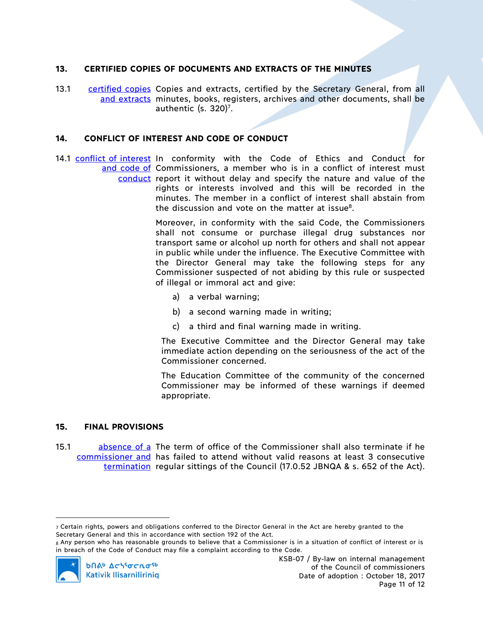## **13. CERTIFIED COPIES OF DOCUMENTS AND EXTRACTS OF THE MINUTES**

13.1 certified copies Copies and extracts, certified by the Secretary General, from all and extracts minutes, books, registers, archives and other documents, shall be authentic (s.  $320$ <sup>7</sup>.

## **14. CONFLICT OF INTEREST AND CODE OF CONDUCT**

14.1 conflict of interest In conformity with the Code of Ethics and Conduct for and code of Commissioners, a member who is in a conflict of interest must conduct report it without delay and specify the nature and value of the rights or interests involved and this will be recorded in the minutes. The member in a conflict of interest shall abstain from the discussion and vote on the matter at issue<sup>8</sup>.

> Moreover, in conformity with the said Code, the Commissioners shall not consume or purchase illegal drug substances nor transport same or alcohol up north for others and shall not appear in public while under the influence. The Executive Committee with the Director General may take the following steps for any Commissioner suspected of not abiding by this rule or suspected of illegal or immoral act and give:

- a) a verbal warning;
- b) a second warning made in writing;
- c) a third and final warning made in writing.

The Executive Committee and the Director General may take immediate action depending on the seriousness of the act of the Commissioner concerned.

The Education Committee of the community of the concerned Commissioner may be informed of these warnings if deemed appropriate.

#### **15. FINAL PROVISIONS**

15.1 absence of a The term of office of the Commissioner shall also terminate if he commissioner and has failed to attend without valid reasons at least 3 consecutive termination regular sittings of the Council (17.0.52 JBNQA & s. 652 of the Act).

<sup>8</sup> Any person who has reasonable grounds to believe that a Commissioner is in a situation of conflict of interest or is in breach of the Code of Conduct may file a complaint according to the Code.



 $\overline{a}$ 

 $7$  Certain rights, powers and obligations conferred to the Director General in the Act are hereby granted to the Secretary General and this in accordance with section 192 of the Act.